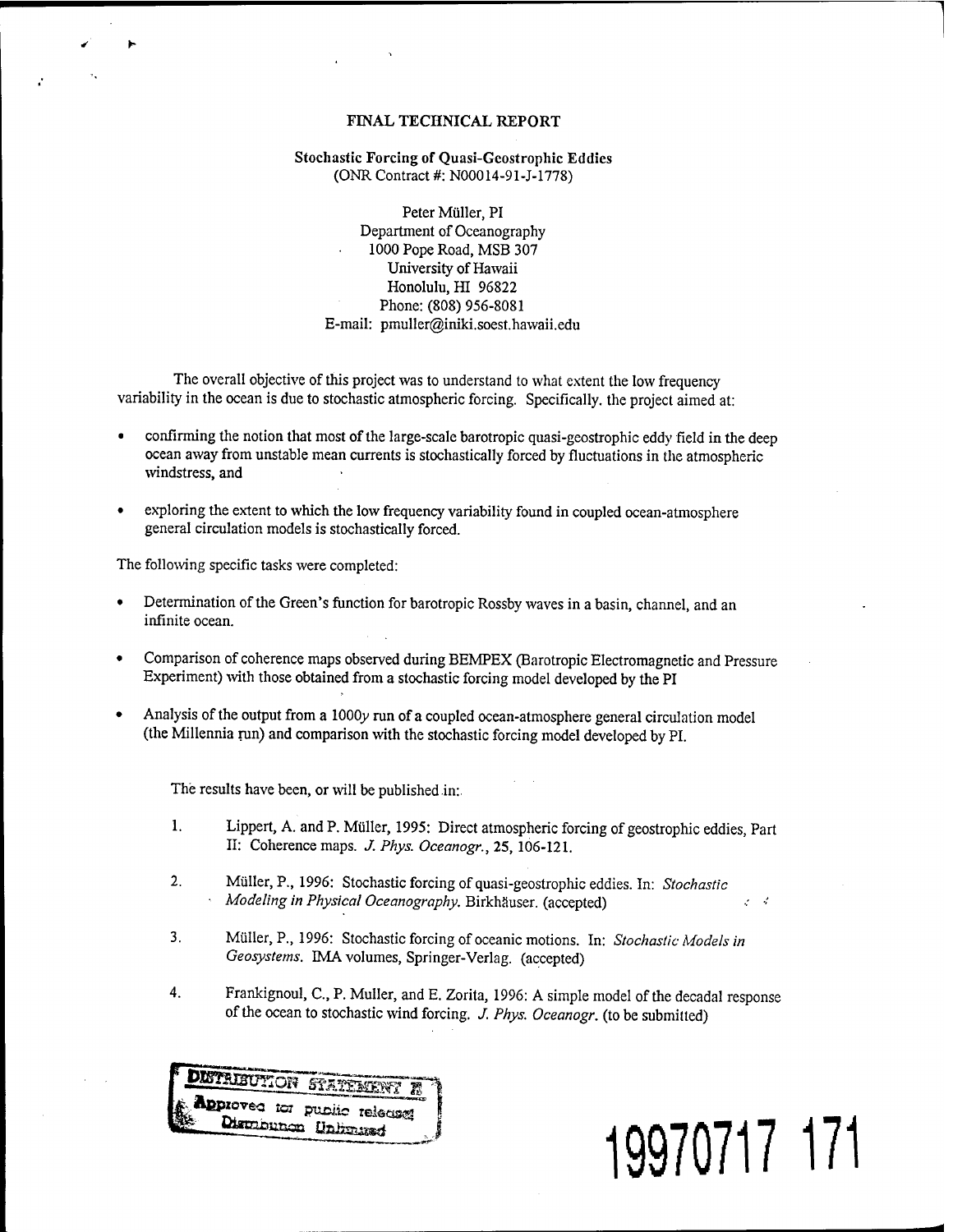# FINAL TECHNICAL REPORT

## Stochastic Forcing of Quasi-Gcostrophic Eddies (ONR Contract #: N00014-91-J-1778)

Peter Müller, PI Department of Oceanography 1000 Pope Road, MSB 307 University of Hawaii Honolulu, HI 96822 Phone: (808) 956-8081 E-mail: pmuller@iniki.soest.hawaii.edu

The overall objective of this project was to understand to what extent the low frequency variability in the ocean is due to stochastic atmospheric forcing. Specifically, the project aimed at:

- confirming the notion that most of the large-scale barotropic quasi-geostrophic eddy field in the deep ocean away from unstable mean currents is stochastically forced by fluctuations in the atmospheric windstress, and
- exploring the extent to which the low frequency variability found in coupled ocean-atmosphere general circulation models is stochastically forced.

The following specific tasks were completed:

- Determination of the Green's function for barotropic Rossby waves in a basin, channel, and an infinite ocean.
- Comparison of coherence maps observed during BEMPEX (Barotropic Electromagnetic and Pressure Experiment) with those obtained from a stochastic forcing model developed by the PI
- Analysis of the output from a 1000y run of a coupled ocean-atmosphere general circulation model (the Millennia run) and comparison with the stochastic forcing model developed by PI.

The results have been, or will be published in:

- 1. Lippert, A. and P. Müller, 1995: Direct atmospheric forcing of geostrophic eddies, Part II: Coherence maps. *J. Phys. Oceanogr.,* 25, 106-121.
- 2. Müller, P., 1996: Stochastic forcing of quasi-geostrophic eddies. In: *Stochastic Modeling in Physical Oceanography.* Birkhäuser. (accepted) • ''
- 3. Müller, P., 1996: Stochastic forcing of oceanic motions. In: *Stochastic Models in Geosystems.* IMA volumes, Springer-Verlag, (accepted)
- 4. Frankignoul, C., P. Muller, and E. Zorita, 1996: A simple model of the decadal response ofthe ocean to stochastic wind forcing. *J. Phys. Oceanogr.* (to be submitted)



# **19970717 171**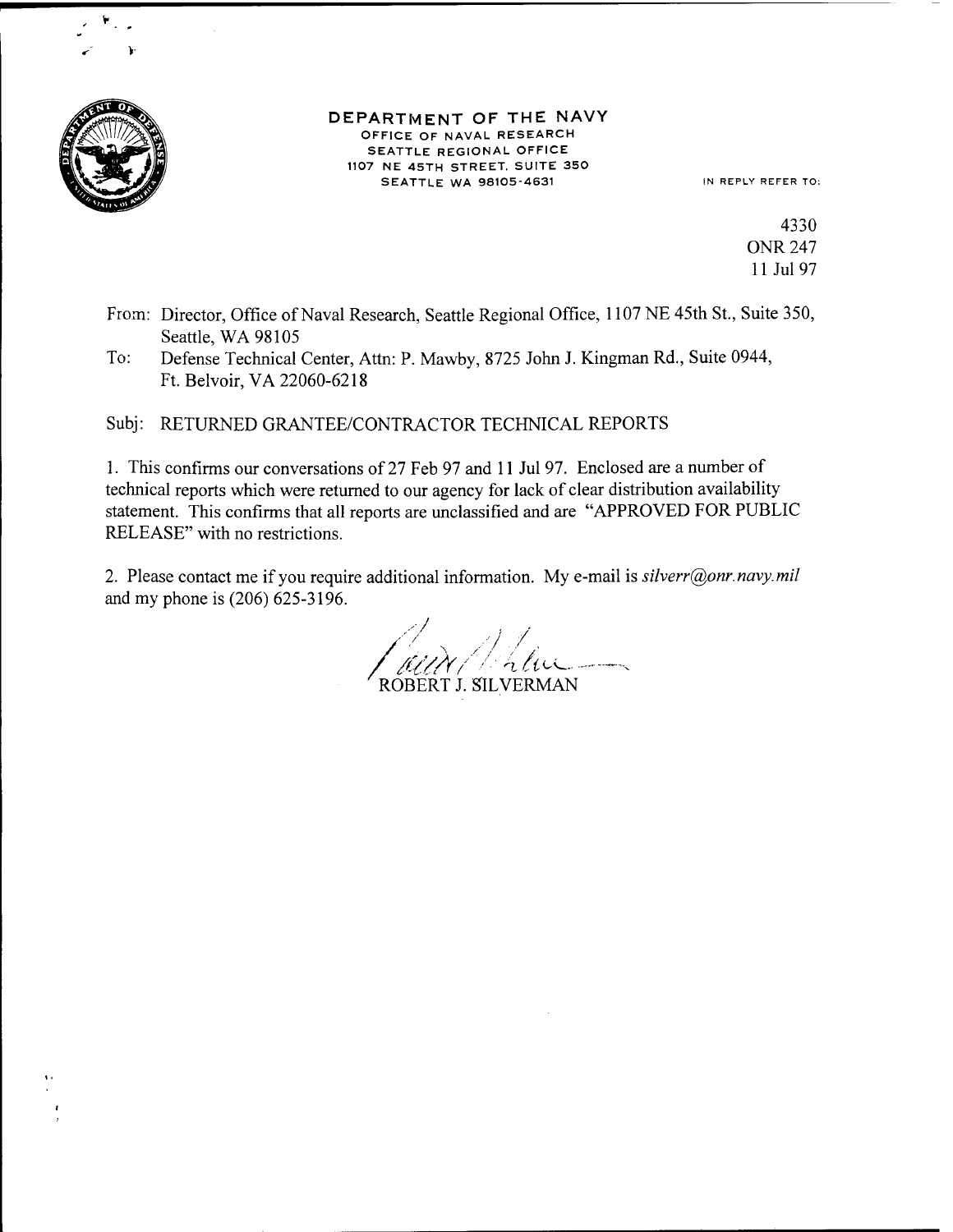

#### DEPARTMENT OF THE NAVY OFFICE OF NAVAL RESEARCH SEATTLE REGIONAL OFFICE 1107 NE 45TH STREET. SUITE 350 SEATTLE WA 98105-4631 IN REPLY REFER TO:

4330 ONR 247 11 Jul 97

- From: Director, Office of Naval Research, Seattle Regional Office, 1107 NE 45th St., Suite 350, Seattle, WA 98105
- To: Defense Technical Center, Attn: P. Mawby, 8725 John J. Kingman Rd., Suite 0944, Ft. Belvoir,VA 22060-6218

Subj: RETURNED GRANTEE/CONTRACTOR TECHNICAL REPORTS

1. This confirms our conversations of 27 Feb 97 and <sup>11</sup> Jul 97. Enclosed are a number of technical reports which were returned to our agency for lack of clear distribution availability statement. This confirms that all reports are unclassified and are "APPROVED FOR PUBLIC RELEASE" with no restrictions.

2. Please contact me if you require additional information. My e-mail is *silverr@onr.navy.mil* and my phone is (206) 625-3196.

'/ *<sup>I</sup> /* ROBERT J. SILVERMAN